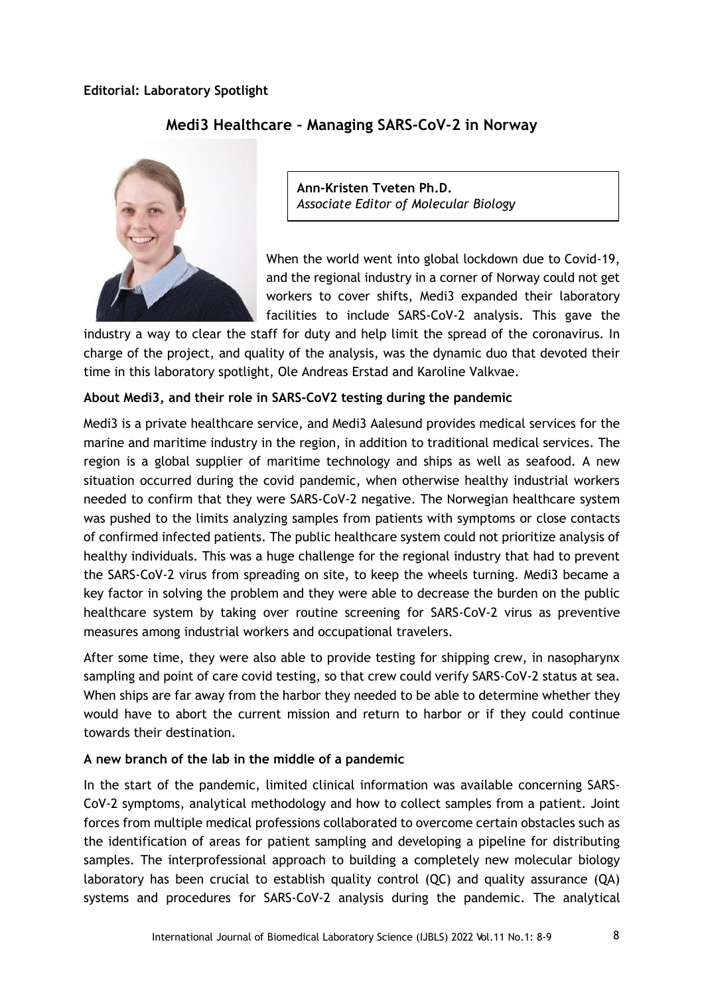

## **Medi3 Healthcare - Managing SARS-CoV-2 in Norway**

**Ann-Kristen Tveten Ph.D.** *Associate Editor of Molecular Biology*

When the world went into global lockdown due to Covid-19, and the regional industry in a corner of Norway could not get workers to cover shifts, Medi3 expanded their laboratory facilities to include SARS-CoV-2 analysis. This gave the

industry a way to clear the staff for duty and help limit the spread of the coronavirus. In charge of the project, and quality of the analysis, was the dynamic duo that devoted their time in this laboratory spotlight, Ole Andreas Erstad and Karoline Valkvae.

## **About Medi3, and their role in SARS-CoV2 testing during the pandemic**

Medi3 is a private healthcare service, and Medi3 Aalesund provides medical services for the marine and maritime industry in the region, in addition to traditional medical services. The region is a global supplier of maritime technology and ships as well as seafood. A new situation occurred during the covid pandemic, when otherwise healthy industrial workers needed to confirm that they were SARS-CoV-2 negative. The Norwegian healthcare system was pushed to the limits analyzing samples from patients with symptoms or close contacts of confirmed infected patients. The public healthcare system could not prioritize analysis of healthy individuals. This was a huge challenge for the regional industry that had to prevent the SARS-CoV-2 virus from spreading on site, to keep the wheels turning. Medi3 became a key factor in solving the problem and they were able to decrease the burden on the public healthcare system by taking over routine screening for SARS-CoV-2 virus as preventive measures among industrial workers and occupational travelers.

After some time, they were also able to provide testing for shipping crew, in nasopharynx sampling and point of care covid testing, so that crew could verify SARS-CoV-2 status at sea. When ships are far away from the harbor they needed to be able to determine whether they would have to abort the current mission and return to harbor or if they could continue towards their destination.

## **A new branch of the lab in the middle of a pandemic**

In the start of the pandemic, limited clinical information was available concerning SARS-CoV-2 symptoms, analytical methodology and how to collect samples from a patient. Joint forces from multiple medical professions collaborated to overcome certain obstacles such as the identification of areas for patient sampling and developing a pipeline for distributing samples. The interprofessional approach to building a completely new molecular biology laboratory has been crucial to establish quality control (QC) and quality assurance (QA) systems and procedures for SARS-CoV-2 analysis during the pandemic. The analytical